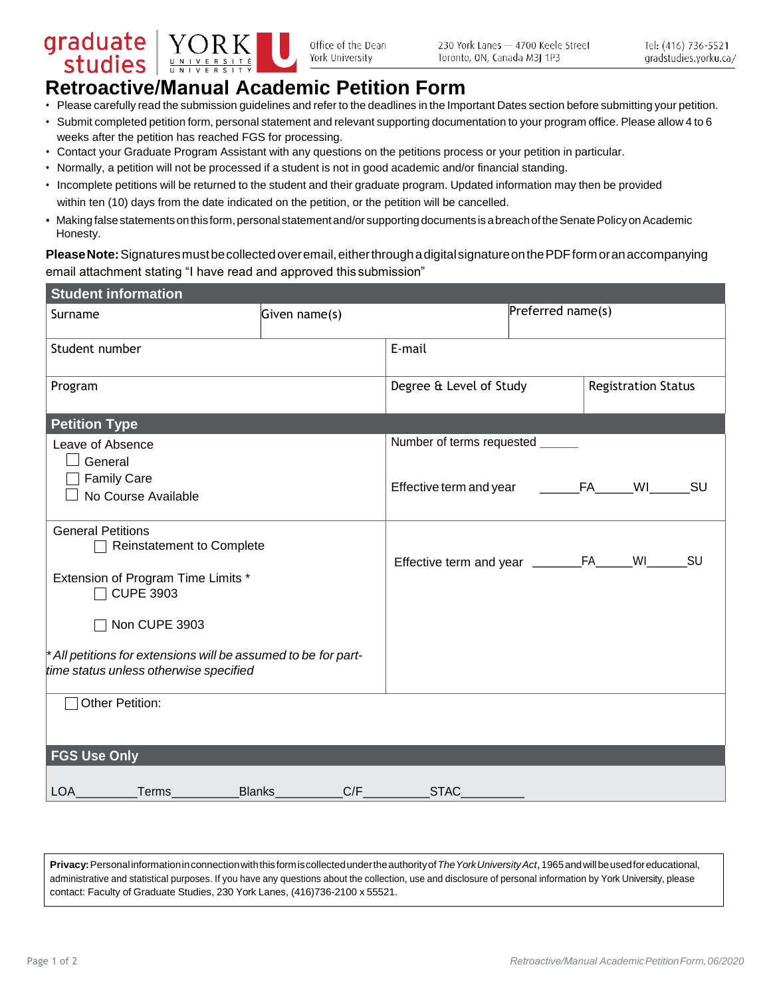



Office of the Dean York University

## **Retroactive/Manual Academic Petition Form**

- Please carefully read the submission guidelines and refer to the deadlines in the Important Dates section before submitting your petition.
- Submit completed petition form, personal statement and relevant supporting documentation to your program office. Please allow 4 to 6 weeks after the petition has reached FGS for processing.
- Contact your Graduate Program Assistant with any questions on the petitions process or your petition in particular.
- Normally, a petition will not be processed if a student is not in good academic and/or financial standing.
- Incomplete petitions will be returned to the student and their graduate program. Updated information may then be provided within ten (10) days from the date indicated on the petition, or the petition will be cancelled.
- Making false statements on this form, personal statement and/or supporting documents is a breach of the Senate Policy on Academic Honesty.

**PleaseNote:**Signaturesmustbecollectedoveremail,eitherthroughadigitalsignatureonthePDFformoranaccompanying email attachment stating "I have read and approved this submission"

| <b>Student information</b>                                                                               |                                  |                |                            |    |           |  |
|----------------------------------------------------------------------------------------------------------|----------------------------------|----------------|----------------------------|----|-----------|--|
| Surname                                                                                                  | Given name(s)                    |                | Preferred name(s)          |    |           |  |
| Student number                                                                                           | E-mail                           |                |                            |    |           |  |
| Program                                                                                                  | Degree & Level of Study          |                | <b>Registration Status</b> |    |           |  |
| <b>Petition Type</b>                                                                                     |                                  |                |                            |    |           |  |
| Leave of Absence<br>General                                                                              | Number of terms requested ______ |                |                            |    |           |  |
| <b>Family Care</b><br>No Course Available                                                                | Effective term and year          | <b>EXECUTE</b> |                            | WI | <b>SU</b> |  |
| <b>General Petitions</b><br><b>Reinstatement to Complete</b>                                             |                                  |                |                            |    |           |  |
| Extension of Program Time Limits *<br><b>CUPE 3903</b>                                                   |                                  |                |                            | WI | <b>SU</b> |  |
| Non CUPE 3903                                                                                            |                                  |                |                            |    |           |  |
| * All petitions for extensions will be assumed to be for part-<br>time status unless otherwise specified |                                  |                |                            |    |           |  |
| Other Petition:                                                                                          |                                  |                |                            |    |           |  |
| <b>FGS Use Only</b>                                                                                      |                                  |                |                            |    |           |  |
| <b>LOA</b><br>Terms                                                                                      | C/F<br><b>Blanks</b>             | <b>STAC</b>    |                            |    |           |  |

**Privacy:**Personalinformationinconnectionwiththisformiscollectedundertheauthorityof*TheYorkUniversityAct*,1965andwillbeusedforeducational, administrative and statistical purposes. If you have any questions about the collection, use and disclosure of personal information by York University, please contact: Faculty of Graduate Studies, 230 York Lanes, (416)736-2100 x 55521.